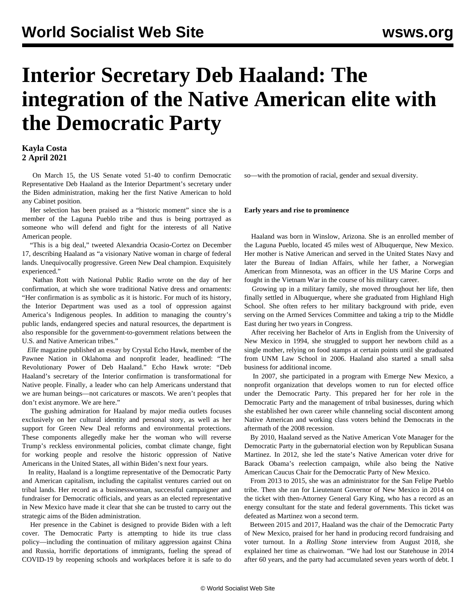# **Interior Secretary Deb Haaland: The integration of the Native American elite with the Democratic Party**

# **Kayla Costa 2 April 2021**

 On March 15, the US Senate voted 51-40 to confirm Democratic Representative Deb Haaland as the Interior Department's secretary under the Biden administration, making her the first Native American to hold any Cabinet position.

 Her selection has been praised as a "historic moment" since she is a member of the Laguna Pueblo tribe and thus is being portrayed as someone who will defend and fight for the interests of all Native American people.

 "This is a big deal," tweeted Alexandria Ocasio-Cortez on December 17, describing Haaland as "a visionary Native woman in charge of federal lands. Unequivocally progressive. Green New Deal champion. Exquisitely experienced."

 Nathan Rott with National Public Radio wrote on the day of her confirmation, at which she wore traditional Native dress and ornaments: "Her confirmation is as symbolic as it is historic. For much of its history, the Interior Department was used as a tool of oppression against America's Indigenous peoples. In addition to managing the country's public lands, endangered species and natural resources, the department is also responsible for the government-to-government relations between the U.S. and Native American tribes."

 *Elle* magazine published an essay by Crystal Echo Hawk, member of the Pawnee Nation in Oklahoma and nonprofit leader, headlined: "The Revolutionary Power of Deb Haaland." Echo Hawk wrote: "Deb Haaland's secretary of the Interior confirmation is transformational for Native people. Finally, a leader who can help Americans understand that we are human beings—not caricatures or mascots. We aren't peoples that don't exist anymore. We are here."

 The gushing admiration for Haaland by major media outlets focuses exclusively on her cultural identity and personal story, as well as her support for Green New Deal reforms and environmental protections. These components allegedly make her the woman who will reverse Trump's reckless environmental policies, combat climate change, fight for working people and resolve the historic oppression of Native Americans in the United States, all within Biden's next four years.

 In reality, Haaland is a longtime representative of the Democratic Party and American capitalism, including the capitalist ventures carried out on tribal lands. Her record as a businesswoman, successful campaigner and fundraiser for Democratic officials, and years as an elected representative in New Mexico have made it clear that she can be trusted to carry out the strategic aims of the Biden administration.

 Her presence in the Cabinet is designed to provide Biden with a left cover. The Democratic Party is attempting to hide its true class policy—including the continuation of military aggression against China and Russia, horrific deportations of immigrants, fueling the spread of COVID-19 by reopening schools and workplaces before it is safe to do so—with the promotion of racial, gender and sexual diversity.

#### **Early years and rise to prominence**

 Haaland was born in Winslow, Arizona. She is an enrolled member of the Laguna Pueblo, located 45 miles west of Albuquerque, New Mexico. Her mother is Native American and served in the United States Navy and later the Bureau of Indian Affairs, while her father, a Norwegian American from Minnesota, was an officer in the US Marine Corps and fought in the Vietnam War in the course of his military career.

 Growing up in a military family, she moved throughout her life, then finally settled in Albuquerque, where she graduated from Highland High School. She often refers to her military background with pride, even serving on the Armed Services Committee and taking a trip to the Middle East during her two years in Congress.

 After receiving her Bachelor of Arts in English from the University of New Mexico in 1994, she struggled to support her newborn child as a single mother, relying on food stamps at certain points until she graduated from UNM Law School in 2006. Haaland also started a small salsa business for additional income.

 In 2007, she participated in a program with Emerge New Mexico, a nonprofit organization that develops women to run for elected office under the Democratic Party. This prepared her for her role in the Democratic Party and the management of tribal businesses, during which she established her own career while channeling social discontent among Native American and working class voters behind the Democrats in the aftermath of the 2008 recession.

 By 2010, Haaland served as the Native American Vote Manager for the Democratic Party in the gubernatorial election won by Republican Susana Martinez. In 2012, she led the state's Native American voter drive for Barack Obama's reelection campaign, while also being the Native American Caucus Chair for the Democratic Party of New Mexico.

 From 2013 to 2015, she was an administrator for the San Felipe Pueblo tribe. Then she ran for Lieutenant Governor of New Mexico in 2014 on the ticket with then-Attorney General Gary King, who has a record as an energy consultant for the state and federal governments. This ticket was defeated as Martinez won a second term.

 Between 2015 and 2017, Haaland was the chair of the Democratic Party of New Mexico, praised for her hand in producing record fundraising and voter turnout. In a *Rolling Stone* interview from August 2018, she explained her time as chairwoman. "We had lost our Statehouse in 2014 after 60 years, and the party had accumulated seven years worth of debt. I